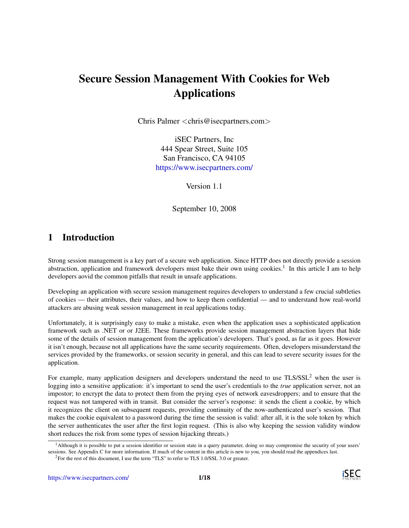# Secure Session Management With Cookies for Web Applications

Chris Palmer <chris@isecpartners.com>

iSEC Partners, Inc 444 Spear Street, Suite 105 San Francisco, CA 94105 <https://www.isecpartners.com/>

Version 1.1

September 10, 2008

## 1 Introduction

Strong session management is a key part of a secure web application. Since HTTP does not directly provide a session abstraction, application and framework developers must bake their own using cookies.<sup>[1](#page-0-0)</sup> In this article I am to help developers aovid the common pitfalls that result in unsafe applications.

Developing an application with secure session management requires developers to understand a few crucial subtleties of cookies — their attributes, their values, and how to keep them confidential — and to understand how real-world attackers are abusing weak session management in real applications today.

Unfortunately, it is surprisingly easy to make a mistake, even when the application uses a sophisticated application framework such as .NET or or J2EE. These frameworks provide session management abstraction layers that hide some of the details of session management from the application's developers. That's good, as far as it goes. However it isn't enough, because not all applications have the same security requirements. Often, developers misunderstand the services provided by the frameworks, or session security in general, and this can lead to severe security issues for the application.

For example, many application designers and developers understand the need to use TLS/SSL<sup>[2](#page-0-1)</sup> when the user is logging into a sensitive application: it's important to send the user's credentials to the *true* application server, not an impostor; to encrypt the data to protect them from the prying eyes of network eavesdroppers; and to ensure that the request was not tampered with in transit. But consider the server's response: it sends the client a cookie, by which it recognizes the client on subsequent requests, providing continuity of the now-authenticated user's session. That makes the cookie equivalent to a password during the time the session is valid: after all, it is the sole token by which the server authenticates the user after the first login request. (This is also why keeping the session validity window short reduces the risk from some types of session hijacking threats.)

<span id="page-0-0"></span><sup>&</sup>lt;sup>1</sup>Although it is possible to put a session identifier or session state in a query parameter, doing so may compromise the security of your users' sessions. See Appendix [C](#page-12-0) for more information. If much of the content in this article is new to you, you should read the appendices last.

<span id="page-0-1"></span><sup>&</sup>lt;sup>2</sup>For the rest of this document, I use the term "TLS" to refer to TLS 1.0/SSL 3.0 or greater.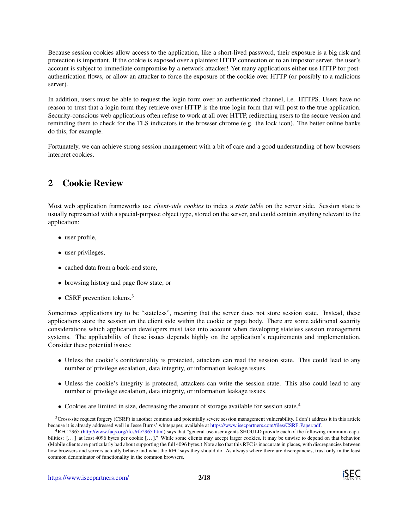Because session cookies allow access to the application, like a short-lived password, their exposure is a big risk and protection is important. If the cookie is exposed over a plaintext HTTP connection or to an impostor server, the user's account is subject to immediate compromise by a network attacker! Yet many applications either use HTTP for postauthentication flows, or allow an attacker to force the exposure of the cookie over HTTP (or possibly to a malicious server).

In addition, users must be able to request the login form over an authenticated channel, i.e. HTTPS. Users have no reason to trust that a login form they retrieve over HTTP is the true login form that will post to the true application. Security-conscious web applications often refuse to work at all over HTTP, redirecting users to the secure version and reminding them to check for the TLS indicators in the browser chrome (e.g. the lock icon). The better online banks do this, for example.

Fortunately, we can achieve strong session management with a bit of care and a good understanding of how browsers interpret cookies.

# 2 Cookie Review

Most web application frameworks use *client-side cookies* to index a *state table* on the server side. Session state is usually represented with a special-purpose object type, stored on the server, and could contain anything relevant to the application:

- user profile,
- user privileges,
- cached data from a back-end store,
- browsing history and page flow state, or
- CSRF prevention tokens.<sup>[3](#page-1-0)</sup>

Sometimes applications try to be "stateless", meaning that the server does not store session state. Instead, these applications store the session on the client side within the cookie or page body. There are some additional security considerations which application developers must take into account when developing stateless session management systems. The applicability of these issues depends highly on the application's requirements and implementation. Consider these potential issues:

- Unless the cookie's confidentiality is protected, attackers can read the session state. This could lead to any number of privilege escalation, data integrity, or information leakage issues.
- Unless the cookie's integrity is protected, attackers can write the session state. This also could lead to any number of privilege escalation, data integrity, or information leakage issues.
- Cookies are limited in size, decreasing the amount of storage available for session state.<sup>[4](#page-1-1)</sup>

<span id="page-1-0"></span> $3C$ ross-site request forgery (CSRF) is another common and potentially severe session management vulnerability. I don't address it in this article because it is already addressed well in Jesse Burns' whitepaper, available at [https://www.isecpartners.com/files/CSRF](https://www.isecpartners.com/files/CSRF_Paper.pdf) Paper.pdf.

<span id="page-1-1"></span><sup>4</sup>RFC 2965 [\(http://www.faqs.org/rfcs/rfc2965.html\)](http://www.faqs.org/rfcs/rfc2965.html) says that "general-use user agents SHOULD provide each of the following minimum capabilities: [...] at least 4096 bytes per cookie [...]." While some clients may accept larger cookies, it may be unwise to depend on that behavior. (Mobile clients are particularly bad about supporting the full 4096 bytes.) Note also that this RFC is inaccurate in places, with discrepancies between how browsers and servers actually behave and what the RFC says they should do. As always where there are discrepancies, trust only in the least common denominator of functionality in the common browsers.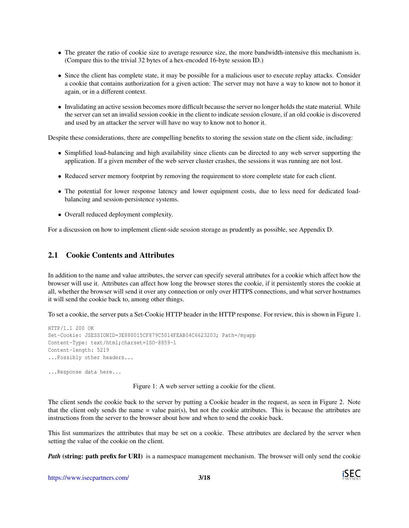- The greater the ratio of cookie size to average resource size, the more bandwidth-intensive this mechanism is. (Compare this to the trivial 32 bytes of a hex-encoded 16-byte session ID.)
- Since the client has complete state, it may be possible for a malicious user to execute replay attacks. Consider a cookie that contains authorization for a given action: The server may not have a way to know not to honor it again, or in a different context.
- Invalidating an active session becomes more difficult because the server no longer holds the state material. While the server can set an invalid session cookie in the client to indicate session closure, if an old cookie is discovered and used by an attacker the server will have no way to know not to honor it.

Despite these considerations, there are compelling benefits to storing the session state on the client side, including:

- Simplified load-balancing and high availability since clients can be directed to any web server supporting the application. If a given member of the web server cluster crashes, the sessions it was running are not lost.
- Reduced server memory footprint by removing the requirement to store complete state for each client.
- The potential for lower response latency and lower equipment costs, due to less need for dedicated loadbalancing and session-persistence systems.
- Overall reduced deployment complexity.

For a discussion on how to implement client-side session storage as prudently as possible, see Appendix [D.](#page-13-0)

#### 2.1 Cookie Contents and Attributes

In addition to the name and value attributes, the server can specify several attributes for a cookie which affect how the browser will use it. Attributes can affect how long the browser stores the cookie, if it persistently stores the cookie at all, whether the browser will send it over any connection or only over HTTPS connections, and what server hostnames it will send the cookie back to, among other things.

To set a cookie, the server puts a Set-Cookie HTTP header in the HTTP response. For review, this is shown in Figure [1.](#page-2-0)

```
HTTP/1.1 200 OK
Set-Cookie: JSESSIONID=3E880015CF879C5014FEAB04C6623203; Path=/myapp
Content-Type: text/html;charset=ISO-8859-1
Content-length: 5219
...Possibly other headers...
```
...Response data here...

<span id="page-2-0"></span>Figure 1: A web server setting a cookie for the client.

The client sends the cookie back to the server by putting a Cookie header in the request, as seen in Figure [2.](#page-3-0) Note that the client only sends the name = value pair(s), but not the cookie attributes. This is because the attributes are instructions from the server to the browser about how and when to send the cookie back.

This list summarizes the atttributes that may be set on a cookie. These attributes are declared by the server when setting the value of the cookie on the client.

*Path* (string: path prefix for URI) is a namespace management mechanism. The browser will only send the cookie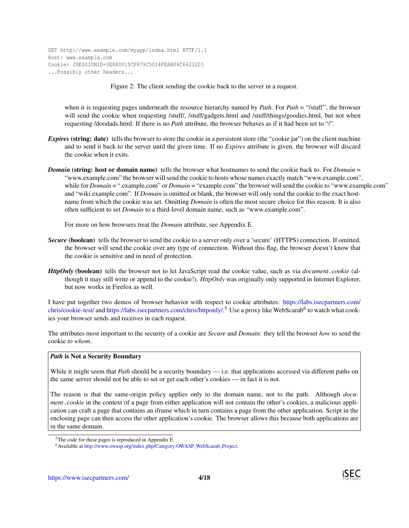GET http://www.example.com/myapp/index.html HTTP/1.1 Host: www.example.com Cookie: JSESSIONID=3E880015CF879C5014FEAB04C6623203 ...Possibly other headers...

<span id="page-3-0"></span>Figure 2: The client sending the cookie back to the server in a request.

when it is requesting pages underneath the resource hierarchy named by *Path*. For *Path* = "/stuff", the browser will send the cookie when requesting /stuff/, /stuff/gadgets.html and /stuff/things/goodies.html, but not when requesting /doodads.html. If there is no *Path* attribute, the browser behaves as if it had been set to "/".

- *Expires* (string: date) tells the browser to store the cookie in a persistent store (the "cookie jar") on the client machine and to send it back to the server until the given time. If no *Expires* attribute is given, the browser will discard the cookie when it exits.
- *Domain* (string: host or domain name) tells the browser what hostnames to send the cookie back to. For *Domain* = "www.example.com" the browser will send the cookie to hosts whose names exactly match "www.example.com", while for *Domain* = ".example.com" or *Domain* = "example.com" the browser will send the cookie to "www.example.com" and "wiki.example.com". If *Domain* is omitted or blank, the browser will only send the cookie to the exact hostname from which the cookie was set. Omitting *Domain* is often the most secure choice for this reason. It is also often sufficient to set *Domain* to a third-level domain name, such as "www.example.com".

For more on how browsers treat the *Domain* attribute, see Appendix [E.](#page-15-0)

- *Secure* (boolean) tells the browser to send the cookie to a server only over a 'secure' (HTTPS) connection. If omitted, the browser will send the cookie over any type of connection. Without this flag, the browser doesn't know that the cookie is sensitive and in need of protection.
- *HttpOnly* (boolean) tells the browser not to let JavaScript read the cookie value, such as via *document*.*cookie* (although it may still write or append to the cookie!). *HttpOnly* was originally only supported in Internet Explorer, but now works in Firefox as well.

I have put together two demos of browser behavior with respect to cookie attributes: [https://labs.isecpartners.com/](https://labs.isecpartners.com/chris/cookie-test/) [chris/cookie-test/](https://labs.isecpartners.com/chris/cookie-test/) and [https://labs.isecpartners.com/chris/httponly/.](https://labs.isecpartners.com/chris/httponly/)<sup>[5](#page-3-1)</sup> Use a proxy like WebScarab<sup>[6](#page-3-2)</sup> to watch what cookies your browser sends and receives in each request.

The attributes most important to the security of a cookie are *Secure* and *Domain*: they tell the browser *how* to send the cookie *to whom*.

#### *Path* is Not a Security Boundary

While it might seem that *Path* should be a security boundary — i.e. that applications accessed via different paths on the same server should not be able to set or get each other's cookies — in fact it is not.

The reason is that the same-origin policy applies only to the domain name, not to the path. Although *document*.*cookie* in the context of a page from either application will not contain the other's cookies, a malicious application can craft a page that contains an iframe which in turn contains a page from the other application. Script in the enclosing page can then access the other application's cookie. The browser allows this because both applications are in the same domain.

<span id="page-3-1"></span> $5$ The code for these pages is reproduced in Appendix [E.](#page-15-0)

<span id="page-3-2"></span><sup>6</sup>Available at [http://www.owasp.org/index.php/Category:OWASP](http://www.owasp.org/index.php/Category:OWASP_WebScarab_Project) WebScarab Project.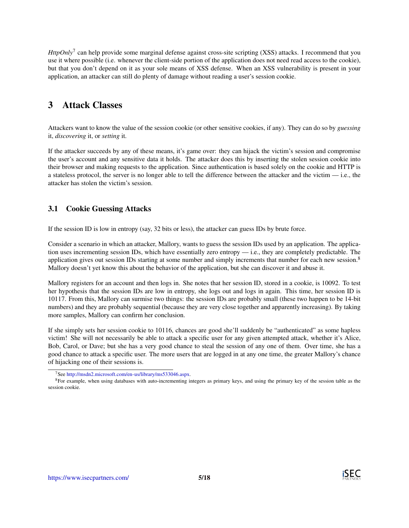*HttpOnly*<sup>[7](#page-4-0)</sup> can help provide some marginal defense against cross-site scripting (XSS) attacks. I recommend that you use it where possible (i.e. whenever the client-side portion of the application does not need read access to the cookie), but that you don't depend on it as your sole means of XSS defense. When an XSS vulnerability is present in your application, an attacker can still do plenty of damage without reading a user's session cookie.

## 3 Attack Classes

Attackers want to know the value of the session cookie (or other sensitive cookies, if any). They can do so by *guessing* it, *discovering* it, or *setting* it.

If the attacker succeeds by any of these means, it's game over: they can hijack the victim's session and compromise the user's account and any sensitive data it holds. The attacker does this by inserting the stolen session cookie into their browser and making requests to the application. Since authentication is based solely on the cookie and HTTP is a stateless protocol, the server is no longer able to tell the difference between the attacker and the victim — i.e., the attacker has stolen the victim's session.

## <span id="page-4-2"></span>3.1 Cookie Guessing Attacks

If the session ID is low in entropy (say, 32 bits or less), the attacker can guess IDs by brute force.

Consider a scenario in which an attacker, Mallory, wants to guess the session IDs used by an application. The application uses incrementing session IDs, which have essentially zero entropy — i.e., they are completely predictable. The application gives out session IDs starting at some number and simply increments that number for each new session.<sup>[8](#page-4-1)</sup> Mallory doesn't yet know this about the behavior of the application, but she can discover it and abuse it.

Mallory registers for an account and then logs in. She notes that her session ID, stored in a cookie, is 10092. To test her hypothesis that the session IDs are low in entropy, she logs out and logs in again. This time, her session ID is 10117. From this, Mallory can surmise two things: the session IDs are probably small (these two happen to be 14-bit numbers) and they are probably sequential (because they are very close together and apparently increasing). By taking more samples, Mallory can confirm her conclusion.

If she simply sets her session cookie to 10116, chances are good she'll suddenly be "authenticated" as some hapless victim! She will not necessarily be able to attack a specific user for any given attempted attack, whether it's Alice, Bob, Carol, or Dave; but she has a very good chance to steal the session of any one of them. Over time, she has a good chance to attack a specific user. The more users that are logged in at any one time, the greater Mallory's chance of hijacking one of their sessions is.

<span id="page-4-1"></span><span id="page-4-0"></span><sup>7</sup>See [http://msdn2.microsoft.com/en-us/library/ms533046.aspx.](http://msdn2.microsoft.com/en-us/library/ms533046.aspx)

<sup>8</sup>For example, when using databases with auto-incrementing integers as primary keys, and using the primary key of the session table as the session cookie.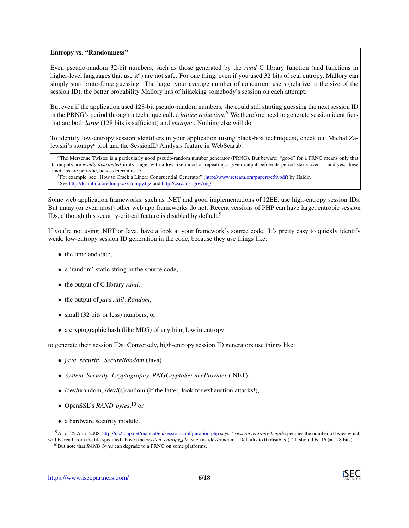#### Entropy vs. "Randomness"

Even pseudo-random 32-bit numbers, such as those generated by the *rand* C library function (and functions in higher-level l[a](#page-5-0)nguages that use it<sup>a</sup>) are not safe. For one thing, even if you used 32 bits of real entropy, Mallory can simply start brute-force guessing. The larger your average number of concurrent users (relative to the size of the session ID), the better probability Mallory has of hijacking somebody's session on each attempt.

But even if the application used 128-bit pseudo-random numbers, she could still starting guessing the next session ID in the PRNG's period through a technique called *lattice reduction*. *[b](#page-5-1)* We therefore need to generate session identifiers that are both *large* (128 bits is sufficient) and *entropic*. Nothing else will do.

To identify low-entropy session identifiers in your application (using black-box techniques), check out Michal Zalewski's stompy*[c](#page-5-2)* tool and the SessionID Analysis feature in WebScarab.

<span id="page-5-0"></span>*<sup>a</sup>*The Mersenne Twister is a particularly good pseudo-random number generator (PRNG). But beware: "good" for a PRNG means only that its outputs are *evenly distributed* in its range, with a low likelihood of repeating a given output before its period starts over — and yes, these functions are periodic, hence deterministic.

<span id="page-5-2"></span><span id="page-5-1"></span>*<sup>b</sup>*For example, see "How to Crack a Linear Congruential Generator" [\(http://www.reteam.org/papers/e59.pdf\)](http://www.reteam.org/papers/e59.pdf) by Haldir. *<sup>c</sup>*See <http://lcamtuf.coredump.cx/stompy.tgz> and [http://csrc.nist.gov/rng/.](http://csrc.nist.gov/rng/)

Some web application frameworks, such as .NET and good implementations of J2EE, use high-entropy session IDs. But many (or even most) other web app frameworks do not. Recent versions of PHP can have large, entropic session IDs, although this security-critical feature is disabled by default.<sup>[9](#page-5-3)</sup>

If you're not using .NET or Java, have a look at your framework's source code. It's pretty easy to quickly identify weak, low-entropy session ID generation in the code, because they use things like:

- the time and date,
- a 'random' static string in the source code,
- the output of C library *rand*,
- the output of *java*.*util*.*Random*,
- small (32 bits or less) numbers, or
- a cryptographic hash (like MD5) of anything low in entropy

to generate their session IDs. Conversely, high-entropy session ID generators use things like:

- *java*.*security*.*SecureRandom* (Java),
- *System*.*Security*.*Cryptography*.*RNGCryptoServiceProvider* (.NET),
- /dev/urandom, /dev/(s)random (if the latter, look for exhaustion attacks!),
- OpenSSL's *RAND bytes*, [10](#page-5-4) or
- a hardware security module.



<span id="page-5-3"></span><sup>9</sup>As of 25 April 2008, <http://us2.php.net/manual/en/session.configuration.php> says: "*session*.*entropy length* specifies the number of bytes which will be read from the file specified above [the *session*.*entropy\_file*, such as /dev/random]. Defaults to 0 (disabled)." It should be 16 (= 128 bits).

<span id="page-5-4"></span><sup>10</sup>But note that *RAND bytes* can degrade to a PRNG on some platforms.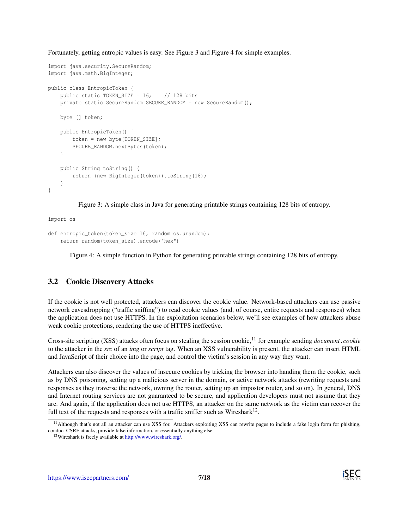Fortunately, getting entropic values is easy. See Figure [3](#page-6-0) and Figure [4](#page-6-1) for simple examples.

```
import java.security.SecureRandom;
import java.math.BigInteger;
public class EntropicToken {
    public static TOKEN SIZE = 16; // 128 bits
    private static SecureRandom SECURE_RANDOM = new SecureRandom();
    byte [] token;
    public EntropicToken() {
        token = new byte[TOKEN_SIZE];
        SECURE_RANDOM.nextBytes(token);
    }
    public String toString() {
       return (new BigInteger(token)).toString(16);
    }
}
```
<span id="page-6-0"></span>Figure 3: A simple class in Java for generating printable strings containing 128 bits of entropy.

```
def entropic_token(token_size=16, random=os.urandom):
    return random(token_size).encode("hex")
```
<span id="page-6-1"></span>Figure 4: A simple function in Python for generating printable strings containing 128 bits of entropy.

## 3.2 Cookie Discovery Attacks

import os

If the cookie is not well protected, attackers can discover the cookie value. Network-based attackers can use passive network eavesdropping ("traffic sniffing") to read cookie values (and, of course, entire requests and responses) when the application does not use HTTPS. In the exploitation scenarios below, we'll see examples of how attackers abuse weak cookie protections, rendering the use of HTTPS ineffective.

Cross-site scripting (XSS) attacks often focus on stealing the session cookie,[11](#page-6-2) for example sending *document*.*cookie* to the attacker in the *src* of an *img* or *script* tag. When an XSS vulnerability is present, the attacker can insert HTML and JavaScript of their choice into the page, and control the victim's session in any way they want.

Attackers can also discover the values of insecure cookies by tricking the browser into handing them the cookie, such as by DNS poisoning, setting up a malicious server in the domain, or active network attacks (rewriting requests and responses as they traverse the network, owning the router, setting up an impostor router, and so on). In general, DNS and Internet routing services are not guaranteed to be secure, and application developers must not assume that they are. And again, if the application does not use HTTPS, an attacker on the same network as the victim can recover the full text of the requests and responses with a traffic sniffer such as Wireshark<sup>[12](#page-6-3)</sup>.

<span id="page-6-2"></span><sup>&</sup>lt;sup>11</sup>Although that's not all an attacker can use XSS for. Attackers exploiting XSS can rewrite pages to include a fake login form for phishing, conduct CSRF attacks, provide false information, or essentially anything else.

<span id="page-6-3"></span><sup>12</sup>Wireshark is freely available at [http://www.wireshark.org/.](http://www.wireshark.org/)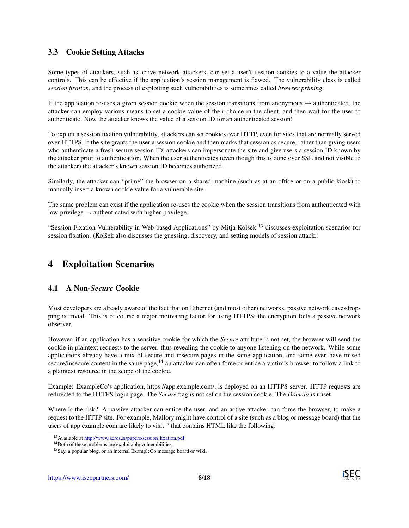## 3.3 Cookie Setting Attacks

Some types of attackers, such as active network attackers, can set a user's session cookies to a value the attacker controls. This can be effective if the application's session management is flawed. The vulnerability class is called *session fixation*, and the process of exploiting such vulnerabilities is sometimes called *browser priming*.

If the application re-uses a given session cookie when the session transitions from anonymous  $\rightarrow$  authenticated, the attacker can employ various means to set a cookie value of their choice in the client, and then wait for the user to authenticate. Now the attacker knows the value of a session ID for an authenticated session!

To exploit a session fixation vulnerability, attackers can set cookies over HTTP, even for sites that are normally served over HTTPS. If the site grants the user a session cookie and then marks that session as secure, rather than giving users who authenticate a fresh secure session ID, attackers can impersonate the site and give users a session ID known by the attacker prior to authentication. When the user authenticates (even though this is done over SSL and not visible to the attacker) the attacker's known session ID becomes authorized.

Similarly, the attacker can "prime" the browser on a shared machine (such as at an office or on a public kiosk) to manually insert a known cookie value for a vulnerable site.

The same problem can exist if the application re-uses the cookie when the session transitions from authenticated with low-privilege  $\rightarrow$  authenticated with higher-privilege.

"Session Fixation Vulnerability in Web-based Applications" by Mitja Kolšek<sup>[13](#page-7-0)</sup> discusses exploitation scenarios for session fixation. (Kolšek also discusses the guessing, discovery, and setting models of session attack.)

## 4 Exploitation Scenarios

### 4.1 A Non-*Secure* Cookie

Most developers are already aware of the fact that on Ethernet (and most other) networks, passive network eavesdropping is trivial. This is of course a major motivating factor for using HTTPS: the encryption foils a passive network observer.

However, if an application has a sensitive cookie for which the *Secure* attribute is not set, the browser will send the cookie in plaintext requests to the server, thus revealing the cookie to anyone listening on the network. While some applications already have a mix of secure and insecure pages in the same application, and some even have mixed secure/insecure content in the same page, $14$  an attacker can often force or entice a victim's browser to follow a link to a plaintext resource in the scope of the cookie.

Example: ExampleCo's application, https://app.example.com/, is deployed on an HTTPS server. HTTP requests are redirected to the HTTPS login page. The *Secure* flag is not set on the session cookie. The *Domain* is unset.

Where is the risk? A passive attacker can entice the user, and an active attacker can force the browser, to make a request to the HTTP site. For example, Mallory might have control of a site (such as a blog or message board) that the users of app.example.com are likely to visit<sup>[15](#page-7-2)</sup> that contains HTML like the following:

<span id="page-7-0"></span><sup>&</sup>lt;sup>13</sup> Available at [http://www.acros.si/papers/session](http://www.acros.si/papers/session_fixation.pdf)\_fixation.pdf.

<span id="page-7-1"></span><sup>&</sup>lt;sup>14</sup>Both of these problems are exploitable vulnerabilities.

<span id="page-7-2"></span><sup>15</sup>Say, a popular blog, or an internal ExampleCo message board or wiki.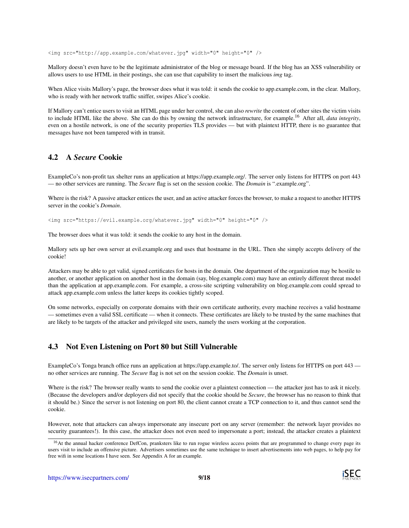<img src="http://app.example.com/whatever.jpg" width="0" height="0" />

Mallory doesn't even have to be the legitimate administrator of the blog or message board. If the blog has an XSS vulnerability or allows users to use HTML in their postings, she can use that capability to insert the malicious *img* tag.

When Alice visits Mallory's page, the browser does what it was told: it sends the cookie to app.example.com, in the clear. Mallory, who is ready with her network traffic sniffer, swipes Alice's cookie.

If Mallory can't entice users to visit an HTML page under her control, she can also *rewrite* the content of other sites the victim visits to include HTML like the above. She can do this by owning the network infrastructure, for example.[16](#page-8-0) After all, *data integrity*, even on a hostile network, is one of the security properties TLS provides — but with plaintext HTTP, there is no guarantee that messages have not been tampered with in transit.

### 4.2 A *Secure* Cookie

ExampleCo's non-profit tax shelter runs an application at https://app.example.org/. The server only listens for HTTPS on port 443 — no other services are running. The *Secure* flag is set on the session cookie. The *Domain* is ".example.org".

Where is the risk? A passive attacker entices the user, and an active attacker forces the browser, to make a request to another HTTPS server in the cookie's *Domain*.

<img src="https://evil.example.org/whatever.jpg" width="0" height="0" />

The browser does what it was told: it sends the cookie to any host in the domain.

Mallory sets up her own server at evil.example.org and uses that hostname in the URL. Then she simply accepts delivery of the cookie!

Attackers may be able to get valid, signed certificates for hosts in the domain. One department of the organization may be hostile to another, or another application on another host in the domain (say, blog.example.com) may have an entirely different threat model than the application at app.example.com. For example, a cross-site scripting vulnerability on blog.example.com could spread to attack app.example.com unless the latter keeps its cookies tightly scoped.

On some networks, especially on corporate domains with their own certificate authority, every machine receives a valid hostname — sometimes even a valid SSL certificate — when it connects. These certificates are likely to be trusted by the same machines that are likely to be targets of the attacker and privileged site users, namely the users working at the corporation.

#### 4.3 Not Even Listening on Port 80 but Still Vulnerable

ExampleCo's Tonga branch office runs an application at https://app.example.to/. The server only listens for HTTPS on port 443 no other services are running. The *Secure* flag is not set on the session cookie. The *Domain* is unset.

Where is the risk? The browser really wants to send the cookie over a plaintext connection — the attacker just has to ask it nicely. (Because the developers and/or deployers did not specify that the cookie should be *Secure*, the browser has no reason to think that it should be.) Since the server is not listening on port 80, the client cannot create a TCP connection to it, and thus cannot send the cookie.

However, note that attackers can always impersonate any insecure port on any server (remember: the network layer provides no security guarantees!). In this case, the attacker does not even need to impersonate a port; instead, the attacker creates a plaintext



<span id="page-8-0"></span><sup>&</sup>lt;sup>16</sup>At the annual hacker conference DefCon, pranksters like to run rogue wireless access points that are programmed to change every page its users visit to include an offensive picture. Advertisers sometimes use the same technique to insert advertisements into web pages, to help pay for free wifi in some locations I have seen. See Appendix [A](#page-10-0) for an example.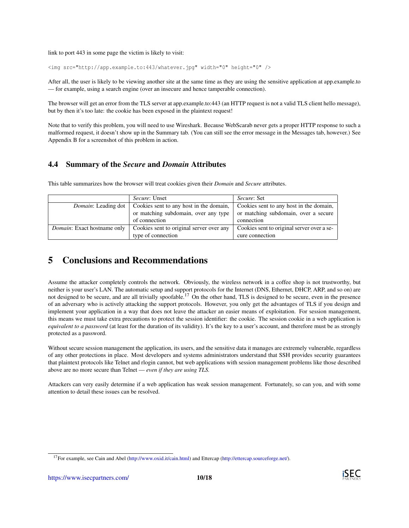link to port 443 in some page the victim is likely to visit:

```
<img src="http://app.example.to:443/whatever.jpg" width="0" height="0" />
```
After all, the user is likely to be viewing another site at the same time as they are using the sensitive application at app.example.to — for example, using a search engine (over an insecure and hence tamperable connection).

The browser will get an error from the TLS server at app.example.to:443 (an HTTP request is not a valid TLS client hello message), but by then it's too late: the cookie has been exposed in the plaintext request!

Note that to verify this problem, you will need to use Wireshark. Because WebScarab never gets a proper HTTP response to such a malformed request, it doesn't show up in the Summary tab. (You can still see the error message in the Messages tab, however.) See Appendix [B](#page-11-0) for a screenshot of this problem in action.

## 4.4 Summary of the *Secure* and *Domain* Attributes

This table summarizes how the browser will treat cookies given their *Domain* and *Secure* attributes.

|                                     | <i>Secure</i> : Unset                    | <i>Secure: Set</i>                         |
|-------------------------------------|------------------------------------------|--------------------------------------------|
| Domain: Leading dot                 | Cookies sent to any host in the domain,  | Cookies sent to any host in the domain,    |
|                                     | or matching subdomain, over any type     | or matching subdomain, over a secure       |
|                                     | of connection                            | connection                                 |
| <i>Domain</i> : Exact hostname only | Cookies sent to original server over any | Cookies sent to original server over a se- |
|                                     | type of connection                       | cure connection                            |

# 5 Conclusions and Recommendations

Assume the attacker completely controls the network. Obviously, the wireless network in a coffee shop is not trustworthy, but neither is your user's LAN. The automatic setup and support protocols for the Internet (DNS, Ethernet, DHCP, ARP, and so on) are not designed to be secure, and are all trivially spoofable.<sup>[17](#page-9-0)</sup> On the other hand, TLS is designed to be secure, even in the presence of an adversary who is actively attacking the support protocols. However, you only get the advantages of TLS if you design and implement your application in a way that does not leave the attacker an easier means of exploitation. For session management, this means we must take extra precautions to protect the session identifier: the cookie. The session cookie in a web application is *equivalent to a password* (at least for the duration of its validity). It's the key to a user's account, and therefore must be as strongly protected as a password.

Without secure session management the application, its users, and the sensitive data it manages are extremely vulnerable, regardless of any other protections in place. Most developers and systems administrators understand that SSH provides security guarantees that plaintext protocols like Telnet and rlogin cannot, but web applications with session management problems like those described above are no more secure than Telnet — *even if they are using TLS.*

Attackers can very easily determine if a web application has weak session management. Fortunately, so can you, and with some attention to detail these issues can be resolved.



<span id="page-9-0"></span><sup>17</sup>For example, see Cain and Abel [\(http://www.oxid.it/cain.html\)](http://www.oxid.it/cain.html) and Ettercap [\(http://ettercap.sourceforge.net/\)](http://ettercap.sourceforge.net/).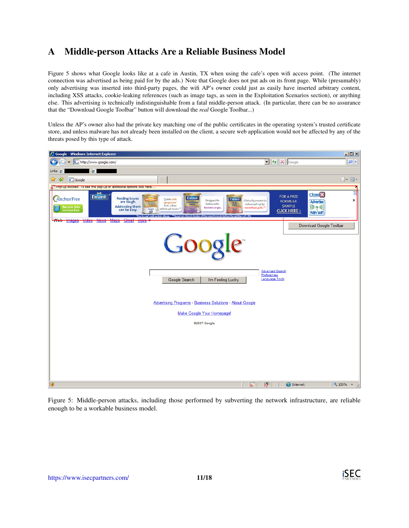# <span id="page-10-0"></span>A Middle-person Attacks Are a Reliable Business Model

Figure [5](#page-10-1) shows what Google looks like at a cafe in Austin, TX when using the cafe's open wifi access point. (The internet connection was advertised as being paid for by the ads.) Note that Google does not put ads on its front page. While (presumably) only advertising was inserted into third-party pages, the wifi AP's owner could just as easily have inserted arbitrary content, including XSS attacks, cookie-leaking references (such as image tags, as seen in the Exploitation Scenarios section), or anything else. This advertising is technically indistinguishable from a fatal middle-person attack. (In particular, there can be no assurance that the "Download Google Toolbar" button will download the *real* Google Toolbar...)

Unless the AP's owner also had the private key matching one of the public certificates in the operating system's trusted certificate store, and unless malware has not already been installed on the client, a secure web application would not be affected by any of the threats posed by this type of attack.



<span id="page-10-1"></span>Figure 5: Middle-person attacks, including those performed by subverting the network infrastructure, are reliable enough to be a workable business model.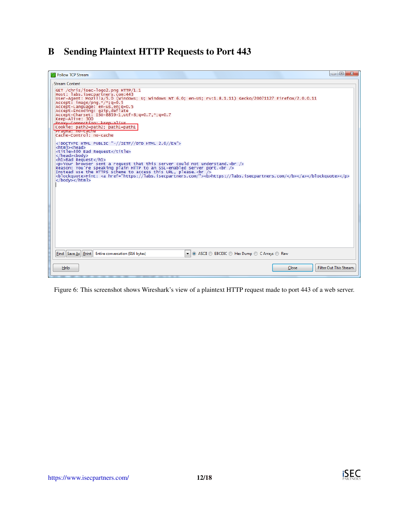# <span id="page-11-0"></span>B Sending Plaintext HTTP Requests to Port 443

| <b>I</b> Follow TCP Stream                                                                                                                                                                                                                                                                                                                                                                                                                                                                                                                                                                                                                                                                                                                                                                                                                                                                                                                                                                                                                                                               | $\Box$ $\Box$ |
|------------------------------------------------------------------------------------------------------------------------------------------------------------------------------------------------------------------------------------------------------------------------------------------------------------------------------------------------------------------------------------------------------------------------------------------------------------------------------------------------------------------------------------------------------------------------------------------------------------------------------------------------------------------------------------------------------------------------------------------------------------------------------------------------------------------------------------------------------------------------------------------------------------------------------------------------------------------------------------------------------------------------------------------------------------------------------------------|---------------|
| <b>Stream Content-</b>                                                                                                                                                                                                                                                                                                                                                                                                                                                                                                                                                                                                                                                                                                                                                                                                                                                                                                                                                                                                                                                                   |               |
| GET /chris/isec-logo2.png HTTP/1.1<br>Host: labs.isecpartners.com:443<br>User-Agent: Mozilla/5.0 (Windows; U; Windows NT 6.0; en-US; rv:1.8.1.11) Gecko/20071127 Firefox/2.0.0.11<br>Accept: $image/png, */$ ; q=0.5<br>Accept-Language: en-us, en: g=0.5<br>Accept-Encoding: gzip, deflate<br>Accept-Charset: ISO-8859-1,utf-8;q=0.7,*;q=0.7<br>Keep-Alive: 300<br>Proxy-Connection: keen-alive<br>Cookie: path2=path2; path1=path1<br>'Pragma: no-cache'<br>Cache-Control: no-cache<br>DOCTYPE HTML PUBLIC "-//IETF//DTD HTML 2.0//EN"<br><html><head><br/><title>400 Bad Request</title><br/></head><body><br/><h1>Bad Request</h1><br/><p>Your browser sent a request that this server could not understand. <br/>&gt;&gt;&gt;&gt;<br/>Reason: You're speaking plain HTTP to an SSL-enabled server port.<br/>&gt;&gt;<br>Instead use the HTTPS scheme to access this URL, please. &lt; br <math>\overline{}/\overline{&gt;}</math><br/><blockquote>Hint: <a href="https://labs.isecpartners.com/"><b>https://labs.isecpartners.com/</b></a></blockquote></br></p><br/></body></html> |               |
| ◎ ASCII © EBCDIC © Hex Dump © C Arrays © Raw<br><b>Find Save As Print Entire conversation (916 bytes)</b><br>$\blacksquare$                                                                                                                                                                                                                                                                                                                                                                                                                                                                                                                                                                                                                                                                                                                                                                                                                                                                                                                                                              |               |
| Filter Out This Stream<br>Help<br><b>Close</b>                                                                                                                                                                                                                                                                                                                                                                                                                                                                                                                                                                                                                                                                                                                                                                                                                                                                                                                                                                                                                                           |               |

Figure 6: This screenshot shows Wireshark's view of a plaintext HTTP request made to port 443 of a web server.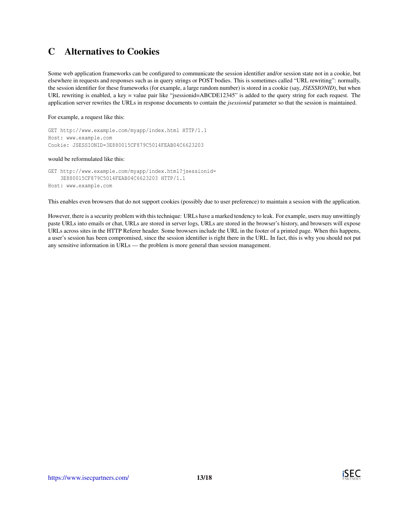# <span id="page-12-0"></span>C Alternatives to Cookies

Some web application frameworks can be configured to communicate the session identifier and/or session state not in a cookie, but elsewhere in requests and responses such as in query strings or POST bodies. This is sometimes called "URL rewriting": normally, the session identifier for these frameworks (for example, a large random number) is stored in a cookie (say, *JSESSIONID*), but when URL rewriting is enabled, a key = value pair like "jsessionid=ABCDE12345" is added to the query string for each request. The application server rewrites the URLs in response documents to contain the *jsessionid* parameter so that the session is maintained.

For example, a request like this:

GET http://www.example.com/myapp/index.html HTTP/1.1 Host: www.example.com Cookie: JSESSIONID=3E880015CF879C5014FEAB04C6623203

#### would be reformulated like this:

GET http://www.example.com/myapp/index.html?jsessionid= 3E880015CF879C5014FEAB04C6623203 HTTP/1.1 Host: www.example.com

This enables even browsers that do not support cookies (possibly due to user preference) to maintain a session with the application.

However, there is a security problem with this technique: URLs have a marked tendency to leak. For example, users may unwittingly paste URLs into emails or chat, URLs are stored in server logs, URLs are stored in the browser's history, and browsers will expose URLs across sites in the HTTP Referer header. Some browsers include the URL in the footer of a printed page. When this happens, a user's session has been compromised, since the session identifier is right there in the URL. In fact, this is why you should not put any sensitive information in URLs — the problem is more general than session management.

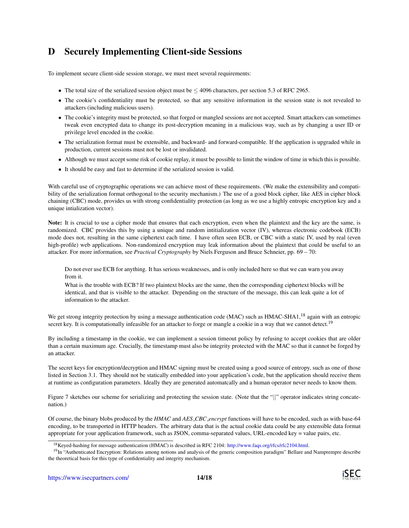# <span id="page-13-0"></span>D Securely Implementing Client-side Sessions

To implement secure client-side session storage, we must meet several requirements:

- The total size of the serialized session object must be  $\leq$  4096 characters, per section 5.3 of RFC 2965.
- The cookie's confidentiality must be protected, so that any sensitive information in the session state is not revealed to attackers (including malicious users).
- The cookie's integrity must be protected, so that forged or mangled sessions are not accepted. Smart attackers can sometimes tweak even encrypted data to change its post-decryption meaning in a malicious way, such as by changing a user ID or privilege level encoded in the cookie.
- The serialization format must be extensible, and backward- and forward-compatible. If the application is upgraded while in production, current sessions must not be lost or invalidated.
- Although we must accept some risk of cookie replay, it must be possible to limit the window of time in which this is possible.
- It should be easy and fast to determine if the serialized session is valid.

With careful use of cryptographic operations we can achieve most of these requirements. (We make the extensibility and compatibility of the serialization format orthogonal to the security mechanism.) The use of a good block cipher, like AES in cipher block chaining (CBC) mode, provides us with strong confidentiality protection (as long as we use a highly entropic encryption key and a unique intialization vector).

Note: It is crucial to use a cipher mode that ensures that each encryption, even when the plaintext and the key are the same, is randomized. CBC provides this by using a unique and random intitialization vector (IV), whereas electronic codebook (ECB) mode does not, resulting in the same ciphertext each time. I have often seen ECB, or CBC with a static IV, used by real (even high-profile) web applications. Non-randomized encryption may leak information about the plaintext that could be useful to an attacker. For more information, see *Practical Cryptography* by Niels Ferguson and Bruce Schneier, pp. 69 – 70:

Do not ever use ECB for anything. It has serious weaknesses, and is only included here so that we can warn you away from it.

What is the trouble with ECB? If two plaintext blocks are the same, then the corresponding ciphertext blocks will be identical, and that is visible to the attacker. Depending on the structure of the message, this can leak quite a lot of information to the attacker.

We get strong integrity protection by using a message authentication code (MAC) such as HMAC-SHA1,<sup>[18](#page-13-1)</sup> again with an entropic secret key. It is computationally infeasible for an attacker to forge or mangle a cookie in a way that we cannot detect.<sup>[19](#page-13-2)</sup>

By including a timestamp in the cookie, we can implement a session timeout policy by refusing to accept cookies that are older than a certain maximum age. Crucially, the timestamp must also be integrity protected with the MAC so that it cannot be forged by an attacker.

The secret keys for encryption/decryption and HMAC signing must be created using a good source of entropy, such as one of those listed in Section [3.1.](#page-4-2) They should not be statically embedded into your application's code, but the application should receive them at runtime as configuration parameters. Ideally they are generated automatcally and a human operator never needs to know them.

Figure [7](#page-14-0) sketches our scheme for serializing and protecting the session state. (Note that the "||" operator indicates string concatenation.)

Of course, the binary blobs produced by the *HMAC* and *AES CBC encrypt* functions will have to be encoded, such as with base-64 encoding, to be transported in HTTP headers. The arbitrary data that is the actual cookie data could be any extensible data format appropriate for your application framework, such as JSON, comma-separated values, URL-encoded key = value pairs, etc.

<span id="page-13-2"></span><span id="page-13-1"></span><sup>&</sup>lt;sup>18</sup>Keyed-hashing for message authentication (HMAC) is described in RFC 2104: [http://www.faqs.org/rfcs/rfc2104.html.](http://www.faqs.org/rfcs/rfc2104.html)

<sup>&</sup>lt;sup>19</sup>In "Authenticated Encryption: Relations among notions and analysis of the generic composition paradigm" Bellare and Namprempre describe the theoretical basis for this type of confidentiality and integrity mechanism.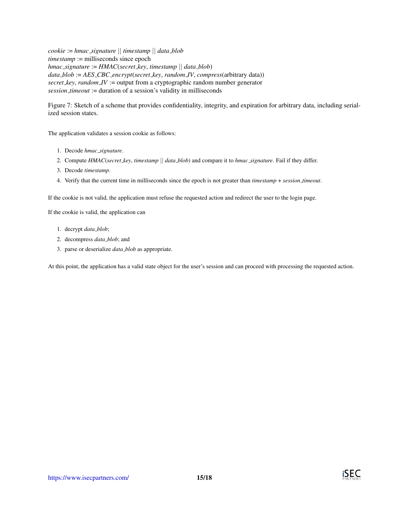*cookie* := *hmac signature* || *timestamp* || *data blob timestamp* := milliseconds since epoch *hmac signature* := *HMAC*(*secret key*, *timestamp* || *data blob*) *data blob* := *AES CBC encrypt*(*secret key*, *random IV*, *compress*(arbitrary data)) *secret key*, *random IV* := output from a cryptographic random number generator *session timeout* := duration of a session's validity in milliseconds

<span id="page-14-0"></span>Figure 7: Sketch of a scheme that provides confidentiality, integrity, and expiration for arbitrary data, including serialized session states.

The application validates a session cookie as follows:

- 1. Decode *hmac signature*.
- 2. Compute *HMAC*(*secret key*, *timestamp* || *data blob*) and compare it to *hmac signature*. Fail if they differ.
- 3. Decode *timestamp*.
- 4. Verify that the current time in milliseconds since the epoch is not greater than *timestamp* + *session timeout*.

If the cookie is not valid, the application must refuse the requested action and redirect the user to the login page.

If the cookie is valid, the application can

- 1. decrypt *data blob*;
- 2. decompress *data blob*; and
- 3. parse or deserialize *data blob* as appropriate.

At this point, the application has a valid state object for the user's session and can proceed with processing the requested action.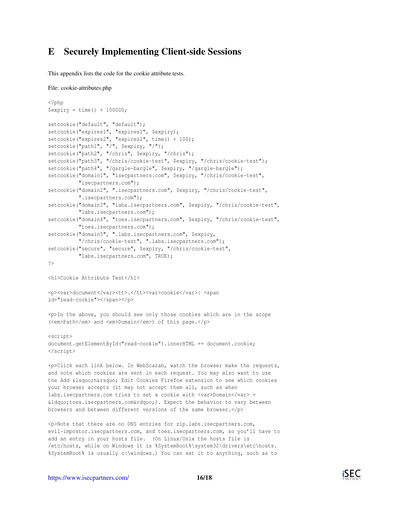## <span id="page-15-0"></span>E Securely Implementing Client-side Sessions

This appendix lists the code for the cookie attribute tests.

```
File: cookie-attributes.php
```

```
<?php
$exyiry = time() + 100000;setcookie("default", "default");
setcookie("expires1", "expires1", $expiry);
setcookie("expires2", "expires2", time() + 100);
setcookie("path1", "/", $expiry, "/");
setcookie("path2", "/chris", $expiry, "/chris");
setcookie("path3", "/chris/cookie-test", $expiry, "/chris/cookie-test");
setcookie("path4", "/gargle-bargle", $expiry, "/gargle-bargle");
setcookie("domain1", "isecpartners.com", $expiry, "/chris/cookie-test",
          "isecpartners.com");
setcookie("domain2", ".isecpartners.com", $expiry, "/chris/cookie-test",
         ".isecpartners.com");
setcookie("domain3", "labs.isecpartners.com", $expiry, "/chris/cookie-test",
         "labs.isecpartners.com");
setcookie("domain4", "toes.isecpartners.com", $expiry, "/chris/cookie-test",
         "toes.isecpartners.com");
setcookie("domain5", ".labs.isecpartners.com", $expiry,
          "/chris/cookie-test", ".labs.isecpartners.com");
setcookie("secure", "secure", $expiry, "/chris/cookie-test",
         "labs.isecpartners.com", TRUE);
?>
<h1>Cookie Attribute Test</h1>
<p><var>document</var><tt>.</tt><var>cookie</var>: <span
```
id="read-cookie"></span></p>

<p>In the above, you should see only those cookies which are in the scope (<em>Path</em> and <em>Domain</em>) of this page.</p>

```
<script>
document.getElementById("read-cookie").innerHTML += document.cookie;
</script>
```
<p>Click each link below. In WebScarab, watch the browser make the requests, and note which cookies are sent in each request. You may also want to use the Add ' n' Edit Cookies Firefox extension to see which cookies your browser accepts (it may not accept them all, such as when labs.isecpartners.com tries to set a cookie with <var>Domain</var> = " toes. isecpartners.com" ). Expect the behavior to vary between browsers and between different versions of the same browser.</p>

<p>Note that there are no DNS entries for zip.labs.isecpartners.com, evil-impostor.isecpartners.com, and toes.isecpartners.com, so you'll have to add an entry in your hosts file. (On Linux/Unix the hosts file is /etc/hosts, while on Windows it is %SystemRoot%\system32\drivers\etc\hosts. %SystemRoot% is usually c:\windows.) You can set it to anything, such as to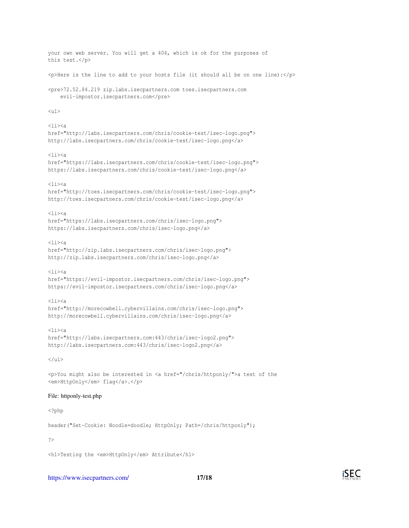```
your own web server. You will get a 404, which is ok for the purposes of
this test.</p>
p>A <p>Here is the line to add to your hosts file (it should all be on one line):\langle p \rangle<pre>72.52.84.219 zip.labs.isecpartners.com toes.isecpartners.com
    evil-impostor.isecpartners.com</pre>
\langle 11 \rangle\langleli>href="http://labs.isecpartners.com/chris/cookie-test/isec-logo.png">
http://labs.isecpartners.com/chris/cookie-test/isec-logo.png</a>
<li><a
href="https://labs.isecpartners.com/chris/cookie-test/isec-logo.png">
https://labs.isecpartners.com/chris/cookie-test/isec-logo.png</a>
\langleli>\leqa
href="http://toes.isecpartners.com/chris/cookie-test/isec-logo.png">
http://toes.isecpartners.com/chris/cookie-test/isec-logo.png</a>
\langleli>\langlea
href="https://labs.isecpartners.com/chris/isec-logo.png">
https://labs.isecpartners.com/chris/isec-logo.png</a>
<li><a
href="http://zip.labs.isecpartners.com/chris/isec-logo.png">
http://zip.labs.isecpartners.com/chris/isec-logo.png</a>
\langleli>\langlea
href="https://evil-impostor.isecpartners.com/chris/isec-logo.png">
https://evil-impostor.isecpartners.com/chris/isec-logo.png</a>
\langleli>\langlea
href="http://morecowbell.cybervillains.com/chris/isec-logo.png">
http://morecowbell.cybervillains.com/chris/isec-logo.png</a>
\langleli>a
href="http://labs.isecpartners.com:443/chris/isec-logo2.png">
http://labs.isecpartners.com:443/chris/isec-logo2.png</a>
\langle/ul>
<p>You might also be interested in <a href="/chris/httponly/">a test of the
<em>HttpOnly</em> flag</a>.</p>
File: httponly-test.php
<?php
header("Set-Cookie: Noodle=doodle; HttpOnly; Path=/chris/httponly");
?>
```
<h1>Testing the <em>HttpOnly</em> Attribute</h1>

<https://www.isecpartners.com/> 17[/18](#page-17-0)

iSEC